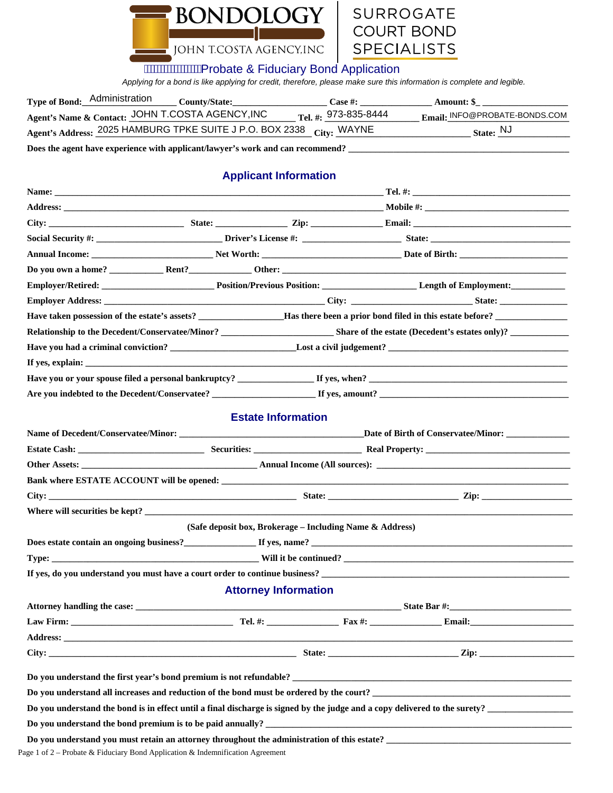



## **AWWWWWWA Probate & Fiduciary Bond Application**

*Applying for a bond is like applying for credit, therefore, please make sure this information is complete and legible.* 

| Type of Bond: Administration                                         | <b>County/State:</b> | <b>Case #:</b>                    | Amount: \$                    |
|----------------------------------------------------------------------|----------------------|-----------------------------------|-------------------------------|
| Agent's Name & Contact: JOHN T.COSTA AGENCY, INC                     |                      | $T_{\text{el. #: }}$ 973-835-8444 | Email: INFO@PROBATE-BONDS.COM |
| Agent's Address: 2025 HAMBURG TPKE SUITE J P.O. BOX 2338 City: WAYNE |                      |                                   | State: $NJ$                   |

**Does the agent have experience with applicant/lawyer's work and can recommend? \_\_\_\_\_\_\_\_\_\_\_\_\_\_\_\_\_\_\_\_\_\_\_\_\_\_\_\_\_\_\_\_\_\_\_\_\_\_\_\_\_\_\_\_\_\_\_\_\_** 

## **Applicant Information**

| Do you own a home? $\qquad \qquad$ Rent? $\qquad \qquad$ Other: $\qquad \qquad$                                                                                                                                                |                                                                                                                                                                                                                                |                                                                                                                                                                                                                                     |  |  |  |
|--------------------------------------------------------------------------------------------------------------------------------------------------------------------------------------------------------------------------------|--------------------------------------------------------------------------------------------------------------------------------------------------------------------------------------------------------------------------------|-------------------------------------------------------------------------------------------------------------------------------------------------------------------------------------------------------------------------------------|--|--|--|
| Employer/Retired: Contact Position/Previous Position: Contact Length of Employment:                                                                                                                                            |                                                                                                                                                                                                                                |                                                                                                                                                                                                                                     |  |  |  |
| Employer Address: State: State: State: State: State: State: State: State: State: State: State: State: State: State: State: State: State: State: State: State: State: State: State: State: State: State: State: State: State: S |                                                                                                                                                                                                                                |                                                                                                                                                                                                                                     |  |  |  |
|                                                                                                                                                                                                                                |                                                                                                                                                                                                                                |                                                                                                                                                                                                                                     |  |  |  |
|                                                                                                                                                                                                                                |                                                                                                                                                                                                                                |                                                                                                                                                                                                                                     |  |  |  |
|                                                                                                                                                                                                                                |                                                                                                                                                                                                                                |                                                                                                                                                                                                                                     |  |  |  |
|                                                                                                                                                                                                                                |                                                                                                                                                                                                                                |                                                                                                                                                                                                                                     |  |  |  |
|                                                                                                                                                                                                                                |                                                                                                                                                                                                                                |                                                                                                                                                                                                                                     |  |  |  |
|                                                                                                                                                                                                                                | Are you indebted to the Decedent/Conservatee? The state of the state of the state of the state of the state of the state of the state of the state of the state of the state of the state of the state of the state of the sta |                                                                                                                                                                                                                                     |  |  |  |
|                                                                                                                                                                                                                                |                                                                                                                                                                                                                                |                                                                                                                                                                                                                                     |  |  |  |
|                                                                                                                                                                                                                                |                                                                                                                                                                                                                                | <b>Estate Information</b>                                                                                                                                                                                                           |  |  |  |
|                                                                                                                                                                                                                                |                                                                                                                                                                                                                                |                                                                                                                                                                                                                                     |  |  |  |
|                                                                                                                                                                                                                                |                                                                                                                                                                                                                                |                                                                                                                                                                                                                                     |  |  |  |
|                                                                                                                                                                                                                                |                                                                                                                                                                                                                                |                                                                                                                                                                                                                                     |  |  |  |
|                                                                                                                                                                                                                                |                                                                                                                                                                                                                                |                                                                                                                                                                                                                                     |  |  |  |
|                                                                                                                                                                                                                                |                                                                                                                                                                                                                                |                                                                                                                                                                                                                                     |  |  |  |
| Where will securities be kept?                                                                                                                                                                                                 |                                                                                                                                                                                                                                |                                                                                                                                                                                                                                     |  |  |  |
|                                                                                                                                                                                                                                |                                                                                                                                                                                                                                | (Safe deposit box, Brokerage - Including Name & Address)                                                                                                                                                                            |  |  |  |
| Does estate contain an ongoing business?<br>If yes, name?<br>If yes, name?                                                                                                                                                     |                                                                                                                                                                                                                                |                                                                                                                                                                                                                                     |  |  |  |
|                                                                                                                                                                                                                                |                                                                                                                                                                                                                                |                                                                                                                                                                                                                                     |  |  |  |
|                                                                                                                                                                                                                                |                                                                                                                                                                                                                                |                                                                                                                                                                                                                                     |  |  |  |
|                                                                                                                                                                                                                                |                                                                                                                                                                                                                                | <b>Attorney Information</b>                                                                                                                                                                                                         |  |  |  |
|                                                                                                                                                                                                                                |                                                                                                                                                                                                                                |                                                                                                                                                                                                                                     |  |  |  |
|                                                                                                                                                                                                                                |                                                                                                                                                                                                                                |                                                                                                                                                                                                                                     |  |  |  |
| <b>Address:</b>                                                                                                                                                                                                                |                                                                                                                                                                                                                                |                                                                                                                                                                                                                                     |  |  |  |
| City:                                                                                                                                                                                                                          |                                                                                                                                                                                                                                | <b>Example 2.1 At 2.1 At 2.1 At 2.1 At 2.1 At 2.1 At 2.1 At 2.1 At 2.1 At 2.1 At 2.1 At 2.1 At 2.1 At 2.1 At 2.1 At 2.1 At 2.1 At 2.1 At 2.1 At 2.1 At 2.1 At 2.1 At 2.1 At 2.1 At 2.1 At 2.1 At 2.1 At 2.1 At 2.1 At 2.1 At 2.</b> |  |  |  |
|                                                                                                                                                                                                                                |                                                                                                                                                                                                                                |                                                                                                                                                                                                                                     |  |  |  |
|                                                                                                                                                                                                                                |                                                                                                                                                                                                                                |                                                                                                                                                                                                                                     |  |  |  |
| Do you understand all increases and reduction of the bond must be ordered by the court?                                                                                                                                        |                                                                                                                                                                                                                                |                                                                                                                                                                                                                                     |  |  |  |
| Do you understand the bond is in effect until a final discharge is signed by the judge and a copy delivered to the surety?                                                                                                     |                                                                                                                                                                                                                                |                                                                                                                                                                                                                                     |  |  |  |
|                                                                                                                                                                                                                                |                                                                                                                                                                                                                                |                                                                                                                                                                                                                                     |  |  |  |
| Do you understand you must retain an attorney throughout the administration of this estate?<br>Page 1 of $2$ – Probate & Fiduciary Bond Application & Indemnification Agreement                                                |                                                                                                                                                                                                                                |                                                                                                                                                                                                                                     |  |  |  |